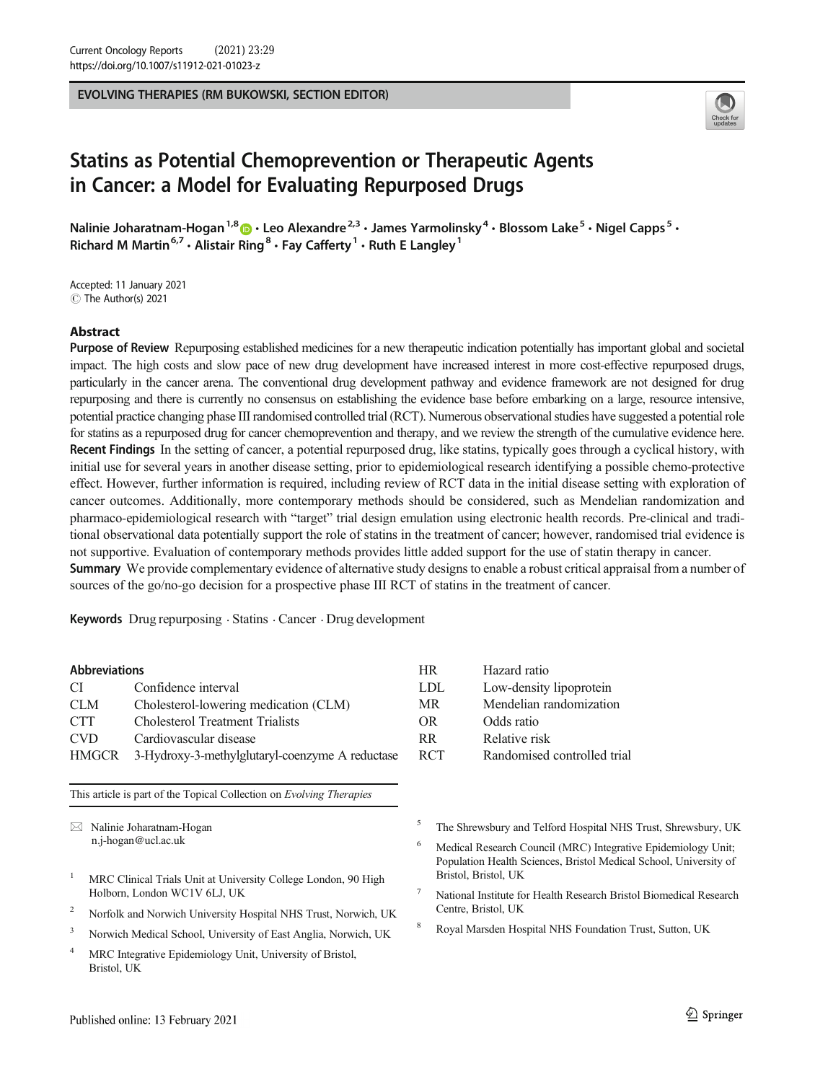EVOLVING THERAPIES (RM BUKOWSKI, SECTION EDITOR)



# Statins as Potential Chemoprevention or Therapeutic Agents in Cancer: a Model for Evaluating Repurposed Drugs

Nalinie Joharatnam-Hogan<sup>1,8</sup>  $\cdot$  Leo Alexandre<sup>2,3</sup>  $\cdot$  James Yarmolinsky<sup>4</sup>  $\cdot$  Blossom Lake<sup>5</sup>  $\cdot$  Nigel Capps<sup>5</sup>  $\cdot$ Richard M Martin<sup>6,7</sup>  $\cdot$  Alistair Ring<sup>8</sup>  $\cdot$  Fay Cafferty<sup>1</sup>  $\cdot$  Ruth E Langley<sup>1</sup>

Accepted: 11 January 2021 C The Author(s) 2021

### Abstract

Purpose of Review Repurposing established medicines for a new therapeutic indication potentially has important global and societal impact. The high costs and slow pace of new drug development have increased interest in more cost-effective repurposed drugs, particularly in the cancer arena. The conventional drug development pathway and evidence framework are not designed for drug repurposing and there is currently no consensus on establishing the evidence base before embarking on a large, resource intensive, potential practice changing phase III randomised controlled trial (RCT). Numerous observational studies have suggested a potential role for statins as a repurposed drug for cancer chemoprevention and therapy, and we review the strength of the cumulative evidence here. Recent Findings In the setting of cancer, a potential repurposed drug, like statins, typically goes through a cyclical history, with initial use for several years in another disease setting, prior to epidemiological research identifying a possible chemo-protective effect. However, further information is required, including review of RCT data in the initial disease setting with exploration of cancer outcomes. Additionally, more contemporary methods should be considered, such as Mendelian randomization and pharmaco-epidemiological research with "target" trial design emulation using electronic health records. Pre-clinical and traditional observational data potentially support the role of statins in the treatment of cancer; however, randomised trial evidence is not supportive. Evaluation of contemporary methods provides little added support for the use of statin therapy in cancer. Summary We provide complementary evidence of alternative study designs to enable a robust critical appraisal from a number of sources of the go/no-go decision for a prospective phase III RCT of statins in the treatment of cancer.

Keywords Drug repurposing . Statins . Cancer . Drug development

#### Abbreviations

| CI.          | Confidence interval                             | LDL.           |
|--------------|-------------------------------------------------|----------------|
| <b>CLM</b>   | Cholesterol-lowering medication (CLM)           | MR.            |
| <b>CTT</b>   | <b>Cholesterol Treatment Trialists</b>          | OR.            |
| <b>CVD</b>   | Cardiovascular disease                          | R <sub>R</sub> |
| <b>HMGCR</b> | 3-Hydroxy-3-methylglutaryl-coenzyme A reductase | <b>RCT</b>     |

This article is part of the Topical Collection on Evolving Therapies

 $\boxtimes$  Nalinie Joharatnam-Hogan [n.j-hogan@ucl.ac.uk](mailto:n.j-hogan@ucl.ac.uk)

- <sup>1</sup> MRC Clinical Trials Unit at University College London, 90 High Holborn, London WC1V 6LJ, UK
- <sup>2</sup> Norfolk and Norwich University Hospital NHS Trust, Norwich, UK
- <sup>3</sup> Norwich Medical School, University of East Anglia, Norwich, UK
- <sup>4</sup> MRC Integrative Epidemiology Unit, University of Bristol, Bristol, UK
- HR Hazard ratio Low-density lipoprotein Mendelian randomization Odds ratio Relative risk Randomised controlled trial
	- <sup>5</sup> The Shrewsbury and Telford Hospital NHS Trust, Shrewsbury, UK
	- <sup>6</sup> Medical Research Council (MRC) Integrative Epidemiology Unit; Population Health Sciences, Bristol Medical School, University of Bristol, Bristol, UK
	- <sup>7</sup> National Institute for Health Research Bristol Biomedical Research Centre, Bristol, UK
	- <sup>8</sup> Royal Marsden Hospital NHS Foundation Trust, Sutton, UK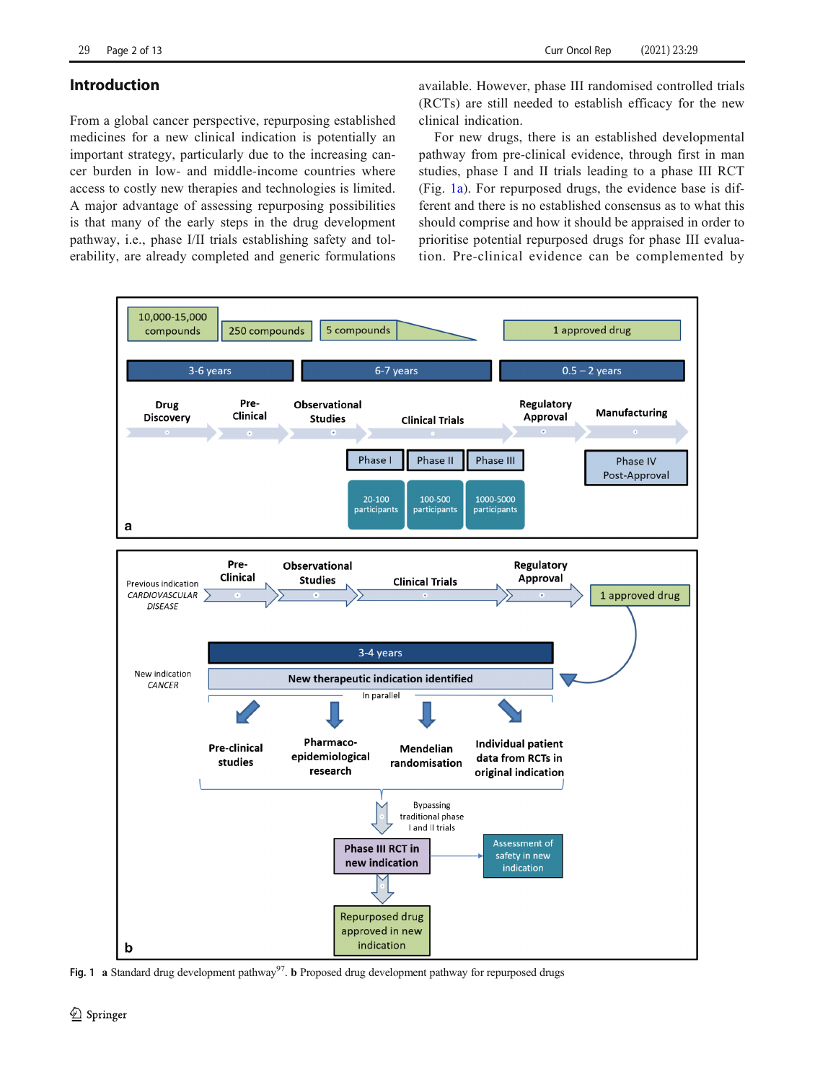# <span id="page-1-0"></span>Introduction

From a global cancer perspective, repurposing established medicines for a new clinical indication is potentially an important strategy, particularly due to the increasing cancer burden in low- and middle-income countries where access to costly new therapies and technologies is limited. A major advantage of assessing repurposing possibilities is that many of the early steps in the drug development pathway, i.e., phase I/II trials establishing safety and tolerability, are already completed and generic formulations available. However, phase III randomised controlled trials (RCTs) are still needed to establish efficacy for the new clinical indication.

For new drugs, there is an established developmental pathway from pre-clinical evidence, through first in man studies, phase I and II trials leading to a phase III RCT (Fig. 1a). For repurposed drugs, the evidence base is different and there is no established consensus as to what this should comprise and how it should be appraised in order to prioritise potential repurposed drugs for phase III evaluation. Pre-clinical evidence can be complemented by



Fig. 1 a Standard drug development pathway<sup>97</sup>. b Proposed drug development pathway for repurposed drugs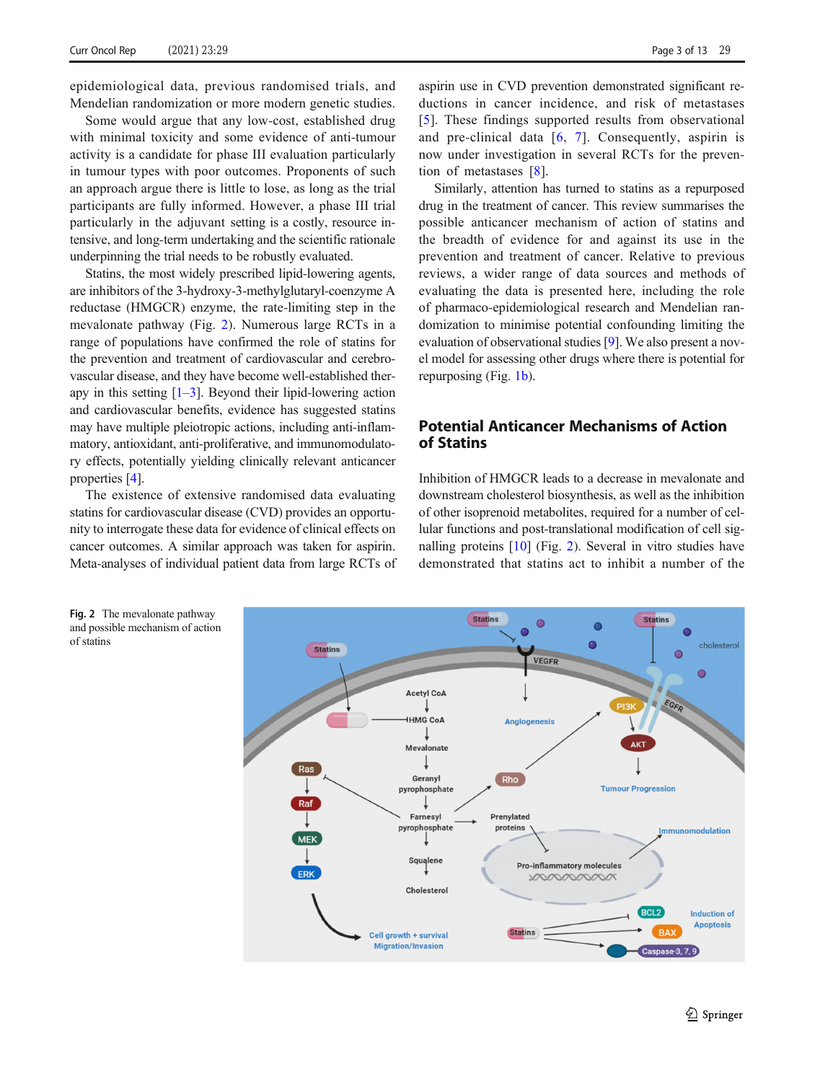<span id="page-2-0"></span>epidemiological data, previous randomised trials, and Mendelian randomization or more modern genetic studies.

Some would argue that any low-cost, established drug with minimal toxicity and some evidence of anti-tumour activity is a candidate for phase III evaluation particularly in tumour types with poor outcomes. Proponents of such an approach argue there is little to lose, as long as the trial participants are fully informed. However, a phase III trial particularly in the adjuvant setting is a costly, resource intensive, and long-term undertaking and the scientific rationale underpinning the trial needs to be robustly evaluated.

Statins, the most widely prescribed lipid-lowering agents, are inhibitors of the 3-hydroxy-3-methylglutaryl-coenzyme A reductase (HMGCR) enzyme, the rate-limiting step in the mevalonate pathway (Fig. 2). Numerous large RCTs in a range of populations have confirmed the role of statins for the prevention and treatment of cardiovascular and cerebrovascular disease, and they have become well-established therapy in this setting [[1](#page-9-0)–[3](#page-9-0)]. Beyond their lipid-lowering action and cardiovascular benefits, evidence has suggested statins may have multiple pleiotropic actions, including anti-inflammatory, antioxidant, anti-proliferative, and immunomodulatory effects, potentially yielding clinically relevant anticancer properties [\[4](#page-9-0)].

The existence of extensive randomised data evaluating statins for cardiovascular disease (CVD) provides an opportunity to interrogate these data for evidence of clinical effects on cancer outcomes. A similar approach was taken for aspirin. Meta-analyses of individual patient data from large RCTs of

aspirin use in CVD prevention demonstrated significant reductions in cancer incidence, and risk of metastases [\[5\]](#page-9-0). These findings supported results from observational and pre-clinical data  $[6, 7]$  $[6, 7]$  $[6, 7]$  $[6, 7]$  $[6, 7]$ . Consequently, aspirin is now under investigation in several RCTs for the prevention of metastases [\[8](#page-9-0)].

Similarly, attention has turned to statins as a repurposed drug in the treatment of cancer. This review summarises the possible anticancer mechanism of action of statins and the breadth of evidence for and against its use in the prevention and treatment of cancer. Relative to previous reviews, a wider range of data sources and methods of evaluating the data is presented here, including the role of pharmaco-epidemiological research and Mendelian randomization to minimise potential confounding limiting the evaluation of observational studies [\[9](#page-9-0)]. We also present a novel model for assessing other drugs where there is potential for repurposing (Fig. [1b\)](#page-1-0).

# Potential Anticancer Mechanisms of Action of Statins

Inhibition of HMGCR leads to a decrease in mevalonate and downstream cholesterol biosynthesis, as well as the inhibition of other isoprenoid metabolites, required for a number of cellular functions and post-translational modification of cell signalling proteins [\[10](#page-10-0)] (Fig. 2). Several in vitro studies have demonstrated that statins act to inhibit a number of the



Fig. 2 The mevalonate pathway and possible mechanism of action of statins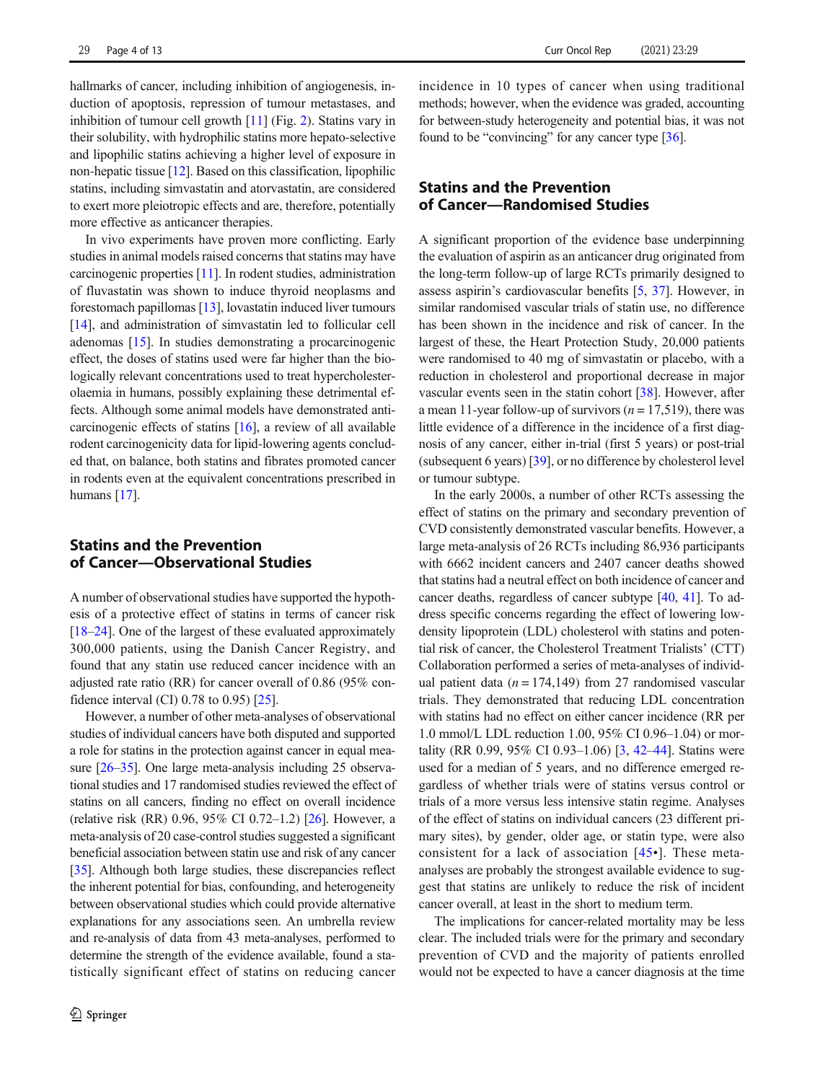hallmarks of cancer, including inhibition of angiogenesis, induction of apoptosis, repression of tumour metastases, and inhibition of tumour cell growth [[11](#page-10-0)] (Fig. [2](#page-2-0)). Statins vary in their solubility, with hydrophilic statins more hepato-selective and lipophilic statins achieving a higher level of exposure in non-hepatic tissue [\[12\]](#page-10-0). Based on this classification, lipophilic statins, including simvastatin and atorvastatin, are considered to exert more pleiotropic effects and are, therefore, potentially more effective as anticancer therapies.

In vivo experiments have proven more conflicting. Early studies in animal models raised concerns that statins may have carcinogenic properties [[11](#page-10-0)]. In rodent studies, administration of fluvastatin was shown to induce thyroid neoplasms and forestomach papillomas [\[13](#page-10-0)], lovastatin induced liver tumours [\[14\]](#page-10-0), and administration of simvastatin led to follicular cell adenomas [\[15\]](#page-10-0). In studies demonstrating a procarcinogenic effect, the doses of statins used were far higher than the biologically relevant concentrations used to treat hypercholesterolaemia in humans, possibly explaining these detrimental effects. Although some animal models have demonstrated anticarcinogenic effects of statins [[16](#page-10-0)], a review of all available rodent carcinogenicity data for lipid-lowering agents concluded that, on balance, both statins and fibrates promoted cancer in rodents even at the equivalent concentrations prescribed in humans [\[17\]](#page-10-0).

## Statins and the Prevention of Cancer—Observational Studies

A number of observational studies have supported the hypothesis of a protective effect of statins in terms of cancer risk [\[18](#page-10-0)–[24\]](#page-10-0). One of the largest of these evaluated approximately 300,000 patients, using the Danish Cancer Registry, and found that any statin use reduced cancer incidence with an adjusted rate ratio (RR) for cancer overall of 0.86 (95% confidence interval (CI) 0.78 to 0.95) [[25](#page-10-0)].

However, a number of other meta-analyses of observational studies of individual cancers have both disputed and supported a role for statins in the protection against cancer in equal mea-sure [\[26](#page-10-0)–[35\]](#page-10-0). One large meta-analysis including 25 observational studies and 17 randomised studies reviewed the effect of statins on all cancers, finding no effect on overall incidence (relative risk (RR) 0.96, 95% CI 0.72–1.2) [\[26](#page-10-0)]. However, a meta-analysis of 20 case-control studies suggested a significant beneficial association between statin use and risk of any cancer [\[35\]](#page-10-0). Although both large studies, these discrepancies reflect the inherent potential for bias, confounding, and heterogeneity between observational studies which could provide alternative explanations for any associations seen. An umbrella review and re-analysis of data from 43 meta-analyses, performed to determine the strength of the evidence available, found a statistically significant effect of statins on reducing cancer

incidence in 10 types of cancer when using traditional methods; however, when the evidence was graded, accounting for between-study heterogeneity and potential bias, it was not found to be "convincing" for any cancer type [[36](#page-10-0)].

# Statins and the Prevention of Cancer—Randomised Studies

A significant proportion of the evidence base underpinning the evaluation of aspirin as an anticancer drug originated from the long-term follow-up of large RCTs primarily designed to assess aspirin's cardiovascular benefits [[5,](#page-9-0) [37](#page-10-0)]. However, in similar randomised vascular trials of statin use, no difference has been shown in the incidence and risk of cancer. In the largest of these, the Heart Protection Study, 20,000 patients were randomised to 40 mg of simvastatin or placebo, with a reduction in cholesterol and proportional decrease in major vascular events seen in the statin cohort [[38\]](#page-10-0). However, after a mean 11-year follow-up of survivors ( $n = 17,519$ ), there was little evidence of a difference in the incidence of a first diagnosis of any cancer, either in-trial (first 5 years) or post-trial (subsequent 6 years) [[39\]](#page-10-0), or no difference by cholesterol level or tumour subtype.

In the early 2000s, a number of other RCTs assessing the effect of statins on the primary and secondary prevention of CVD consistently demonstrated vascular benefits. However, a large meta-analysis of 26 RCTs including 86,936 participants with 6662 incident cancers and 2407 cancer deaths showed that statins had a neutral effect on both incidence of cancer and cancer deaths, regardless of cancer subtype [[40](#page-10-0), [41\]](#page-10-0). To address specific concerns regarding the effect of lowering lowdensity lipoprotein (LDL) cholesterol with statins and potential risk of cancer, the Cholesterol Treatment Trialists' (CTT) Collaboration performed a series of meta-analyses of individual patient data ( $n = 174,149$ ) from 27 randomised vascular trials. They demonstrated that reducing LDL concentration with statins had no effect on either cancer incidence (RR per 1.0 mmol/L LDL reduction 1.00, 95% CI 0.96–1.04) or mortality (RR 0.99, 95% CI 0.93–1.06) [[3,](#page-9-0) [42](#page-10-0)–[44\]](#page-10-0). Statins were used for a median of 5 years, and no difference emerged regardless of whether trials were of statins versus control or trials of a more versus less intensive statin regime. Analyses of the effect of statins on individual cancers (23 different primary sites), by gender, older age, or statin type, were also consistent for a lack of association  $[45\bullet]$  $[45\bullet]$  $[45\bullet]$ . These metaanalyses are probably the strongest available evidence to suggest that statins are unlikely to reduce the risk of incident cancer overall, at least in the short to medium term.

The implications for cancer-related mortality may be less clear. The included trials were for the primary and secondary prevention of CVD and the majority of patients enrolled would not be expected to have a cancer diagnosis at the time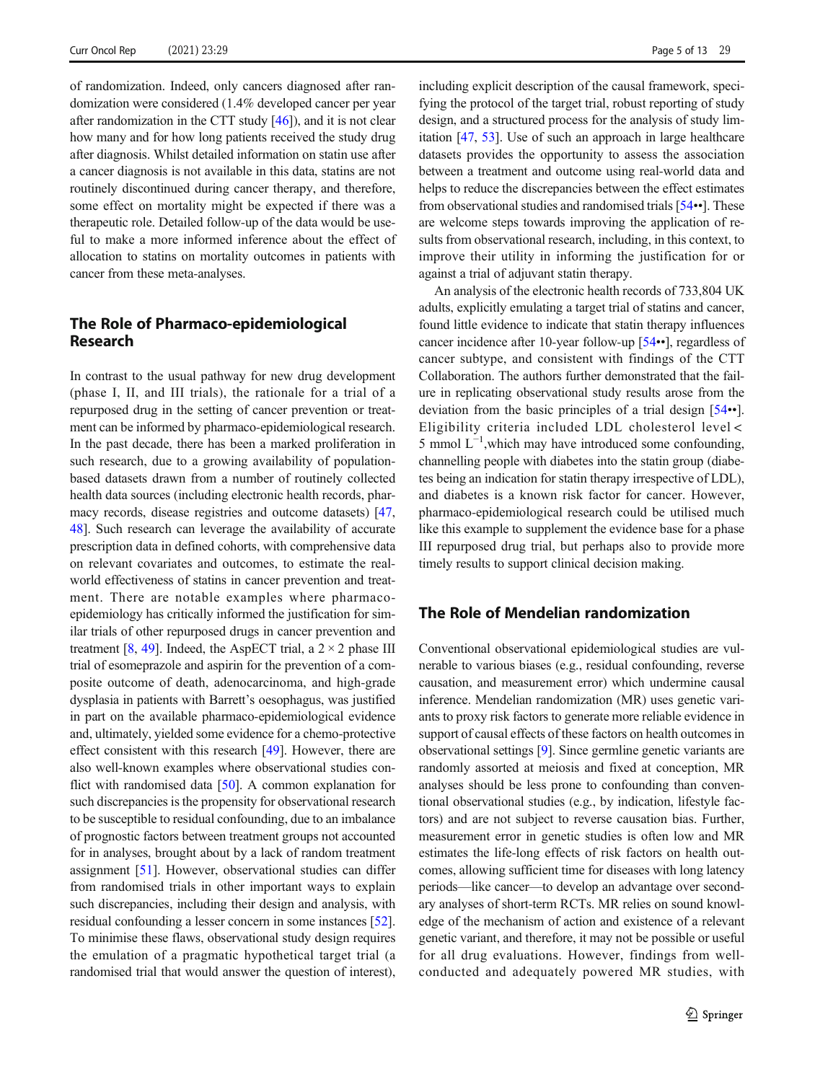of randomization. Indeed, only cancers diagnosed after randomization were considered (1.4% developed cancer per year after randomization in the CTT study [\[46](#page-10-0)]), and it is not clear how many and for how long patients received the study drug after diagnosis. Whilst detailed information on statin use after a cancer diagnosis is not available in this data, statins are not routinely discontinued during cancer therapy, and therefore, some effect on mortality might be expected if there was a therapeutic role. Detailed follow-up of the data would be useful to make a more informed inference about the effect of allocation to statins on mortality outcomes in patients with cancer from these meta-analyses.

## The Role of Pharmaco-epidemiological Research

In contrast to the usual pathway for new drug development (phase I, II, and III trials), the rationale for a trial of a repurposed drug in the setting of cancer prevention or treatment can be informed by pharmaco-epidemiological research. In the past decade, there has been a marked proliferation in such research, due to a growing availability of populationbased datasets drawn from a number of routinely collected health data sources (including electronic health records, pharmacy records, disease registries and outcome datasets) [[47,](#page-11-0) [48\]](#page-11-0). Such research can leverage the availability of accurate prescription data in defined cohorts, with comprehensive data on relevant covariates and outcomes, to estimate the realworld effectiveness of statins in cancer prevention and treatment. There are notable examples where pharmacoepidemiology has critically informed the justification for similar trials of other repurposed drugs in cancer prevention and treatment [\[8](#page-9-0), [49](#page-11-0)]. Indeed, the AspECT trial, a  $2 \times 2$  phase III trial of esomeprazole and aspirin for the prevention of a composite outcome of death, adenocarcinoma, and high-grade dysplasia in patients with Barrett's oesophagus, was justified in part on the available pharmaco-epidemiological evidence and, ultimately, yielded some evidence for a chemo-protective effect consistent with this research [[49](#page-11-0)]. However, there are also well-known examples where observational studies conflict with randomised data [\[50\]](#page-11-0). A common explanation for such discrepancies is the propensity for observational research to be susceptible to residual confounding, due to an imbalance of prognostic factors between treatment groups not accounted for in analyses, brought about by a lack of random treatment assignment [[51\]](#page-11-0). However, observational studies can differ from randomised trials in other important ways to explain such discrepancies, including their design and analysis, with residual confounding a lesser concern in some instances [[52\]](#page-11-0). To minimise these flaws, observational study design requires the emulation of a pragmatic hypothetical target trial (a randomised trial that would answer the question of interest), including explicit description of the causal framework, specifying the protocol of the target trial, robust reporting of study design, and a structured process for the analysis of study limitation [[47,](#page-11-0) [53\]](#page-11-0). Use of such an approach in large healthcare datasets provides the opportunity to assess the association between a treatment and outcome using real-world data and helps to reduce the discrepancies between the effect estimates from observational studies and randomised trials [\[54](#page-11-0)••]. These are welcome steps towards improving the application of results from observational research, including, in this context, to improve their utility in informing the justification for or against a trial of adjuvant statin therapy.

An analysis of the electronic health records of 733,804 UK adults, explicitly emulating a target trial of statins and cancer, found little evidence to indicate that statin therapy influences cancer incidence after 10-year follow-up [[54](#page-11-0)••], regardless of cancer subtype, and consistent with findings of the CTT Collaboration. The authors further demonstrated that the failure in replicating observational study results arose from the deviation from the basic principles of a trial design [[54](#page-11-0)••]. Eligibility criteria included LDL cholesterol level < 5 mmol L<sup>-1</sup>, which may have introduced some confounding, channelling people with diabetes into the statin group (diabetes being an indication for statin therapy irrespective of LDL), and diabetes is a known risk factor for cancer. However, pharmaco-epidemiological research could be utilised much like this example to supplement the evidence base for a phase III repurposed drug trial, but perhaps also to provide more timely results to support clinical decision making.

## The Role of Mendelian randomization

Conventional observational epidemiological studies are vulnerable to various biases (e.g., residual confounding, reverse causation, and measurement error) which undermine causal inference. Mendelian randomization (MR) uses genetic variants to proxy risk factors to generate more reliable evidence in support of causal effects of these factors on health outcomes in observational settings [[9](#page-9-0)]. Since germline genetic variants are randomly assorted at meiosis and fixed at conception, MR analyses should be less prone to confounding than conventional observational studies (e.g., by indication, lifestyle factors) and are not subject to reverse causation bias. Further, measurement error in genetic studies is often low and MR estimates the life-long effects of risk factors on health outcomes, allowing sufficient time for diseases with long latency periods—like cancer—to develop an advantage over secondary analyses of short-term RCTs. MR relies on sound knowledge of the mechanism of action and existence of a relevant genetic variant, and therefore, it may not be possible or useful for all drug evaluations. However, findings from wellconducted and adequately powered MR studies, with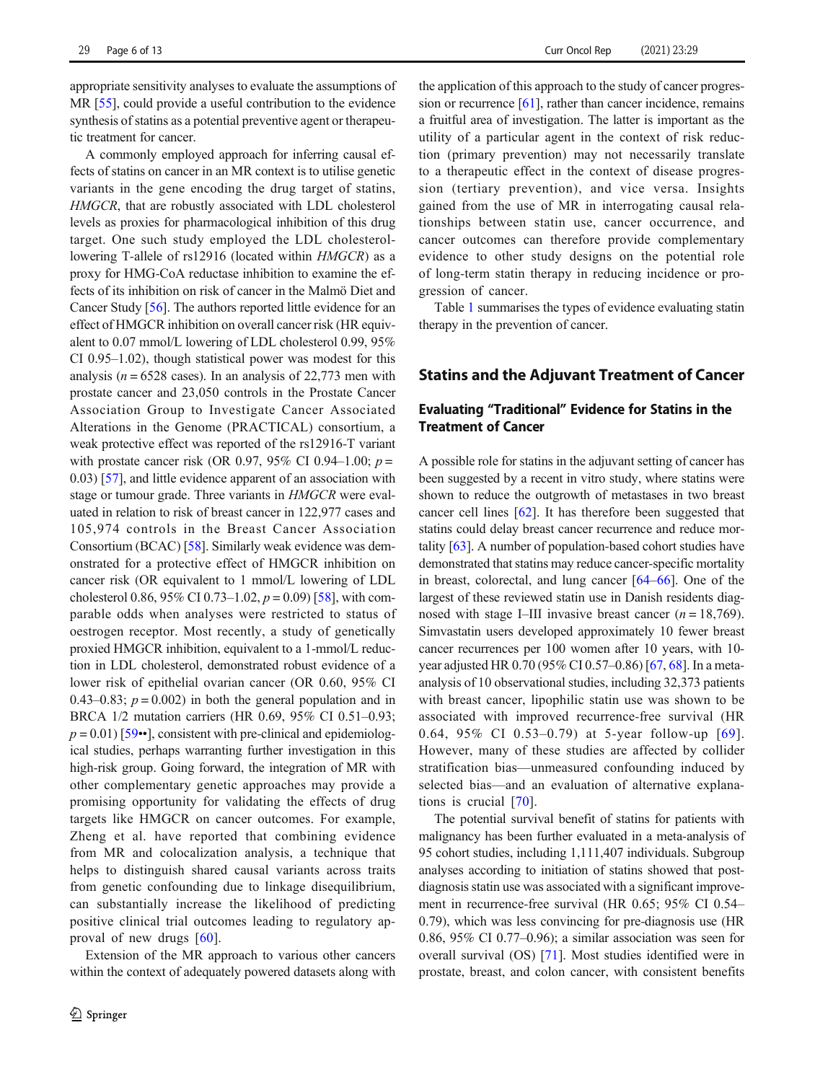appropriate sensitivity analyses to evaluate the assumptions of MR [\[55\]](#page-11-0), could provide a useful contribution to the evidence synthesis of statins as a potential preventive agent or therapeutic treatment for cancer.

A commonly employed approach for inferring causal effects of statins on cancer in an MR context is to utilise genetic variants in the gene encoding the drug target of statins, HMGCR, that are robustly associated with LDL cholesterol levels as proxies for pharmacological inhibition of this drug target. One such study employed the LDL cholesterollowering T-allele of rs12916 (located within HMGCR) as a proxy for HMG-CoA reductase inhibition to examine the effects of its inhibition on risk of cancer in the Malmö Diet and Cancer Study [\[56\]](#page-11-0). The authors reported little evidence for an effect of HMGCR inhibition on overall cancer risk (HR equivalent to 0.07 mmol/L lowering of LDL cholesterol 0.99, 95% CI 0.95–1.02), though statistical power was modest for this analysis ( $n = 6528$  cases). In an analysis of 22,773 men with prostate cancer and 23,050 controls in the Prostate Cancer Association Group to Investigate Cancer Associated Alterations in the Genome (PRACTICAL) consortium, a weak protective effect was reported of the rs12916-T variant with prostate cancer risk (OR 0.97, 95% CI 0.94–1.00;  $p =$ 0.03) [\[57\]](#page-11-0), and little evidence apparent of an association with stage or tumour grade. Three variants in HMGCR were evaluated in relation to risk of breast cancer in 122,977 cases and 105,974 controls in the Breast Cancer Association Consortium (BCAC) [\[58](#page-11-0)]. Similarly weak evidence was demonstrated for a protective effect of HMGCR inhibition on cancer risk (OR equivalent to 1 mmol/L lowering of LDL cholesterol 0.86, 95% CI 0.73–1.02,  $p = 0.09$  [\[58](#page-11-0)], with comparable odds when analyses were restricted to status of oestrogen receptor. Most recently, a study of genetically proxied HMGCR inhibition, equivalent to a 1-mmol/L reduction in LDL cholesterol, demonstrated robust evidence of a lower risk of epithelial ovarian cancer (OR 0.60, 95% CI 0.43–0.83;  $p = 0.002$ ) in both the general population and in BRCA 1/2 mutation carriers (HR 0.69, 95% CI 0.51–0.93;  $p = 0.01$  [\[59](#page-11-0)••], consistent with pre-clinical and epidemiological studies, perhaps warranting further investigation in this high-risk group. Going forward, the integration of MR with other complementary genetic approaches may provide a promising opportunity for validating the effects of drug targets like HMGCR on cancer outcomes. For example, Zheng et al. have reported that combining evidence from MR and colocalization analysis, a technique that helps to distinguish shared causal variants across traits from genetic confounding due to linkage disequilibrium, can substantially increase the likelihood of predicting positive clinical trial outcomes leading to regulatory approval of new drugs [[60](#page-11-0)].

Extension of the MR approach to various other cancers within the context of adequately powered datasets along with

the application of this approach to the study of cancer progres-sion or recurrence [[61\]](#page-11-0), rather than cancer incidence, remains a fruitful area of investigation. The latter is important as the utility of a particular agent in the context of risk reduction (primary prevention) may not necessarily translate to a therapeutic effect in the context of disease progression (tertiary prevention), and vice versa. Insights gained from the use of MR in interrogating causal relationships between statin use, cancer occurrence, and cancer outcomes can therefore provide complementary evidence to other study designs on the potential role of long-term statin therapy in reducing incidence or progression of cancer.

Table [1](#page-6-0) summarises the types of evidence evaluating statin therapy in the prevention of cancer.

### Statins and the Adjuvant Treatment of Cancer

## Evaluating "Traditional" Evidence for Statins in the Treatment of Cancer

A possible role for statins in the adjuvant setting of cancer has been suggested by a recent in vitro study, where statins were shown to reduce the outgrowth of metastases in two breast cancer cell lines [[62\]](#page-11-0). It has therefore been suggested that statins could delay breast cancer recurrence and reduce mortality [\[63](#page-11-0)]. A number of population-based cohort studies have demonstrated that statins may reduce cancer-specific mortality in breast, colorectal, and lung cancer [\[64](#page-11-0)–[66](#page-11-0)]. One of the largest of these reviewed statin use in Danish residents diagnosed with stage I–III invasive breast cancer  $(n = 18,769)$ . Simvastatin users developed approximately 10 fewer breast cancer recurrences per 100 women after 10 years, with 10 year adjusted HR 0.70 (95% CI 0.57–0.86) [\[67,](#page-11-0) [68\]](#page-11-0). In a metaanalysis of 10 observational studies, including 32,373 patients with breast cancer, lipophilic statin use was shown to be associated with improved recurrence-free survival (HR 0.64, 95% CI 0.53–0.79) at 5-year follow-up [[69](#page-11-0)]. However, many of these studies are affected by collider stratification bias—unmeasured confounding induced by selected bias—and an evaluation of alternative explanations is crucial [[70\]](#page-11-0).

The potential survival benefit of statins for patients with malignancy has been further evaluated in a meta-analysis of 95 cohort studies, including 1,111,407 individuals. Subgroup analyses according to initiation of statins showed that postdiagnosis statin use was associated with a significant improvement in recurrence-free survival (HR 0.65; 95% CI 0.54– 0.79), which was less convincing for pre-diagnosis use (HR 0.86, 95% CI 0.77–0.96); a similar association was seen for overall survival (OS) [\[71](#page-11-0)]. Most studies identified were in prostate, breast, and colon cancer, with consistent benefits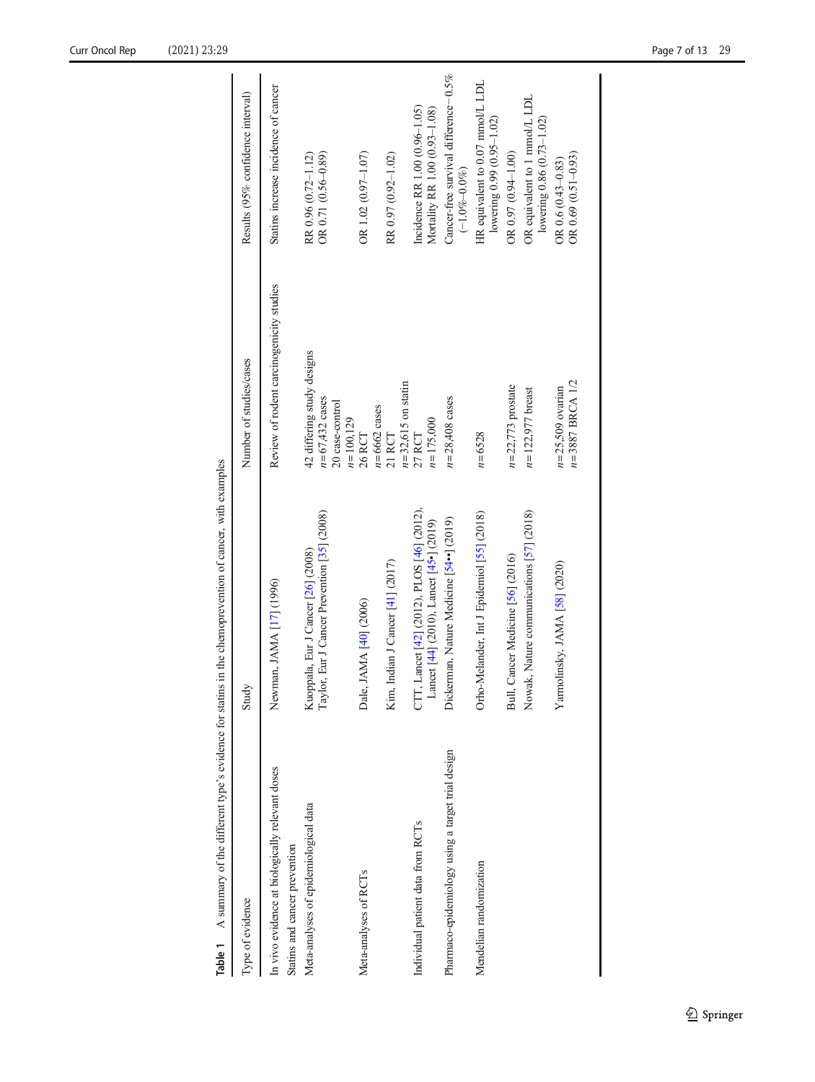<span id="page-6-0"></span>

| Table 1                                                                          | A summary of the different type's evidence for statins in the chemoprevention of cancer, with examples |                                                                                       |                                                                |
|----------------------------------------------------------------------------------|--------------------------------------------------------------------------------------------------------|---------------------------------------------------------------------------------------|----------------------------------------------------------------|
| Type of evidence                                                                 | Study                                                                                                  | Number of studies/cases                                                               | Results (95% confidence interval)                              |
| In vivo evidence at biologically relevant doses<br>Statins and cancer prevention | Newman, JAMA [17] (1996)                                                                               | Review of rodent carcinogenicity studies                                              | Statins increase incidence of cancer                           |
| Meta-analyses of epidemiological data                                            | Taylor, Eur J Cancer Prevention [35] (2008)<br>Kuoppala, Eur J Cancer [26] (2008)                      | 42 differing study designs<br>$n = 67,432$ cases<br>20 case-control<br>$n = 100, 129$ | OR 0.71 (0.56-0.89)<br>RR 0.96 (0.72-1.12)                     |
| Meta-analyses of RCTs                                                            | Dale, JAMA [40] (2006)                                                                                 | $n = 6662$ cases<br>26 RCT                                                            | OR 1.02 (0.97-1.07)                                            |
|                                                                                  | Kim, Indian J Cancer [41] (2017)                                                                       | $n=32,615$ on statin<br>21 RCT                                                        | RR 0.97 (0.92-1.02)                                            |
| Individual patient data from RCTs                                                | CTT, Lancet [42] (2012), PLOS [46] (2012),<br>Lancet [44] (2010), Lancet [45•] (2019)                  | $n = 175,000$<br>27 RCT                                                               | Incidence RR 1.00 (0.96-1.05)<br>Mortality RR 1.00 (0.93-1.08) |
| Pharmaco-epidemiology using a target trial design                                | Dickerman, Nature Medicine [54 <sup>+</sup> ] (2019)                                                   | $n = 28,408$ cases                                                                    | Cancer-free survival difference-0.5%<br>$(-1.0\% - 0.0\%)$     |
| Mendelian randomization                                                          | Orho-Melander, Int J Epidemiol [55] (2018)                                                             | $n = 6528$                                                                            | HR equivalent to 0.07 mmol/L LDL<br>lowering 0.99 (0.95-1.02)  |
|                                                                                  | Bull, Cancer Medicine [56] (2016)                                                                      | $n=22,773$ prostate                                                                   | OR $0.97(0.94 - 1.00)$                                         |
|                                                                                  | Nowak, Nature communications [57] (2018)                                                               | $n = 122,977$ breast                                                                  | OR equivalent to 1 mmol/L LDL<br>lowering 0.86 (0.73-1.02)     |
|                                                                                  | Yarmolinsky, JAMA [58] (2020)                                                                          | $n = 3887$ BRCA 1/2<br>$n=25,509$ ovarian                                             | OR $0.69$ $(0.51 - 0.93)$<br>OR $0.6(0.43 - 0.83)$             |
|                                                                                  |                                                                                                        |                                                                                       |                                                                |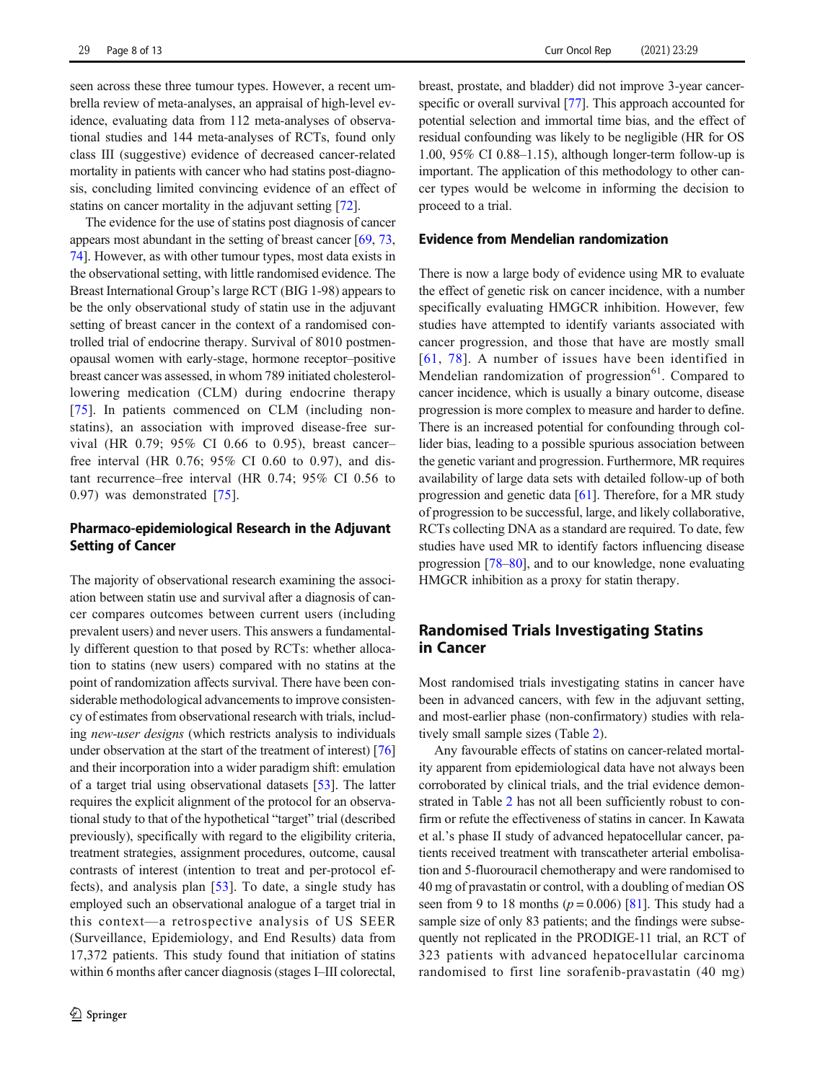seen across these three tumour types. However, a recent umbrella review of meta-analyses, an appraisal of high-level evidence, evaluating data from 112 meta-analyses of observational studies and 144 meta-analyses of RCTs, found only class III (suggestive) evidence of decreased cancer-related mortality in patients with cancer who had statins post-diagnosis, concluding limited convincing evidence of an effect of statins on cancer mortality in the adjuvant setting [\[72](#page-11-0)].

The evidence for the use of statins post diagnosis of cancer appears most abundant in the setting of breast cancer [\[69,](#page-11-0) [73,](#page-11-0) [74\]](#page-11-0). However, as with other tumour types, most data exists in the observational setting, with little randomised evidence. The Breast International Group's large RCT (BIG 1-98) appears to be the only observational study of statin use in the adjuvant setting of breast cancer in the context of a randomised controlled trial of endocrine therapy. Survival of 8010 postmenopausal women with early-stage, hormone receptor–positive breast cancer was assessed, in whom 789 initiated cholesterollowering medication (CLM) during endocrine therapy [\[75\]](#page-11-0). In patients commenced on CLM (including nonstatins), an association with improved disease-free survival (HR 0.79; 95% CI 0.66 to 0.95), breast cancer– free interval (HR 0.76; 95% CI 0.60 to 0.97), and distant recurrence–free interval (HR 0.74; 95% CI 0.56 to 0.97) was demonstrated [\[75](#page-11-0)].

## Pharmaco-epidemiological Research in the Adjuvant Setting of Cancer

The majority of observational research examining the association between statin use and survival after a diagnosis of cancer compares outcomes between current users (including prevalent users) and never users. This answers a fundamentally different question to that posed by RCTs: whether allocation to statins (new users) compared with no statins at the point of randomization affects survival. There have been considerable methodological advancements to improve consistency of estimates from observational research with trials, including new-user designs (which restricts analysis to individuals under observation at the start of the treatment of interest) [\[76\]](#page-11-0) and their incorporation into a wider paradigm shift: emulation of a target trial using observational datasets [\[53\]](#page-11-0). The latter requires the explicit alignment of the protocol for an observational study to that of the hypothetical "target" trial (described previously), specifically with regard to the eligibility criteria, treatment strategies, assignment procedures, outcome, causal contrasts of interest (intention to treat and per-protocol effects), and analysis plan [\[53](#page-11-0)]. To date, a single study has employed such an observational analogue of a target trial in this context—a retrospective analysis of US SEER (Surveillance, Epidemiology, and End Results) data from 17,372 patients. This study found that initiation of statins within 6 months after cancer diagnosis (stages I–III colorectal, breast, prostate, and bladder) did not improve 3-year cancer-specific or overall survival [\[77](#page-12-0)]. This approach accounted for potential selection and immortal time bias, and the effect of residual confounding was likely to be negligible (HR for OS 1.00, 95% CI 0.88–1.15), although longer-term follow-up is important. The application of this methodology to other cancer types would be welcome in informing the decision to proceed to a trial.

#### Evidence from Mendelian randomization

There is now a large body of evidence using MR to evaluate the effect of genetic risk on cancer incidence, with a number specifically evaluating HMGCR inhibition. However, few studies have attempted to identify variants associated with cancer progression, and those that have are mostly small [[61,](#page-11-0) [78](#page-12-0)]. A number of issues have been identified in Mendelian randomization of progression $61$ . Compared to cancer incidence, which is usually a binary outcome, disease progression is more complex to measure and harder to define. There is an increased potential for confounding through collider bias, leading to a possible spurious association between the genetic variant and progression. Furthermore, MR requires availability of large data sets with detailed follow-up of both progression and genetic data [\[61\]](#page-11-0). Therefore, for a MR study of progression to be successful, large, and likely collaborative, RCTs collecting DNA as a standard are required. To date, few studies have used MR to identify factors influencing disease progression [\[78](#page-12-0)–[80\]](#page-12-0), and to our knowledge, none evaluating HMGCR inhibition as a proxy for statin therapy.

# Randomised Trials Investigating Statins in Cancer

Most randomised trials investigating statins in cancer have been in advanced cancers, with few in the adjuvant setting, and most-earlier phase (non-confirmatory) studies with relatively small sample sizes (Table [2](#page-8-0)).

Any favourable effects of statins on cancer-related mortality apparent from epidemiological data have not always been corroborated by clinical trials, and the trial evidence demonstrated in Table [2](#page-8-0) has not all been sufficiently robust to confirm or refute the effectiveness of statins in cancer. In Kawata et al.'s phase II study of advanced hepatocellular cancer, patients received treatment with transcatheter arterial embolisation and 5-fluorouracil chemotherapy and were randomised to 40 mg of pravastatin or control, with a doubling of median OS seen from 9 to 18 months ( $p = 0.006$ ) [\[81\]](#page-12-0). This study had a sample size of only 83 patients; and the findings were subsequently not replicated in the PRODIGE-11 trial, an RCT of 323 patients with advanced hepatocellular carcinoma randomised to first line sorafenib-pravastatin (40 mg)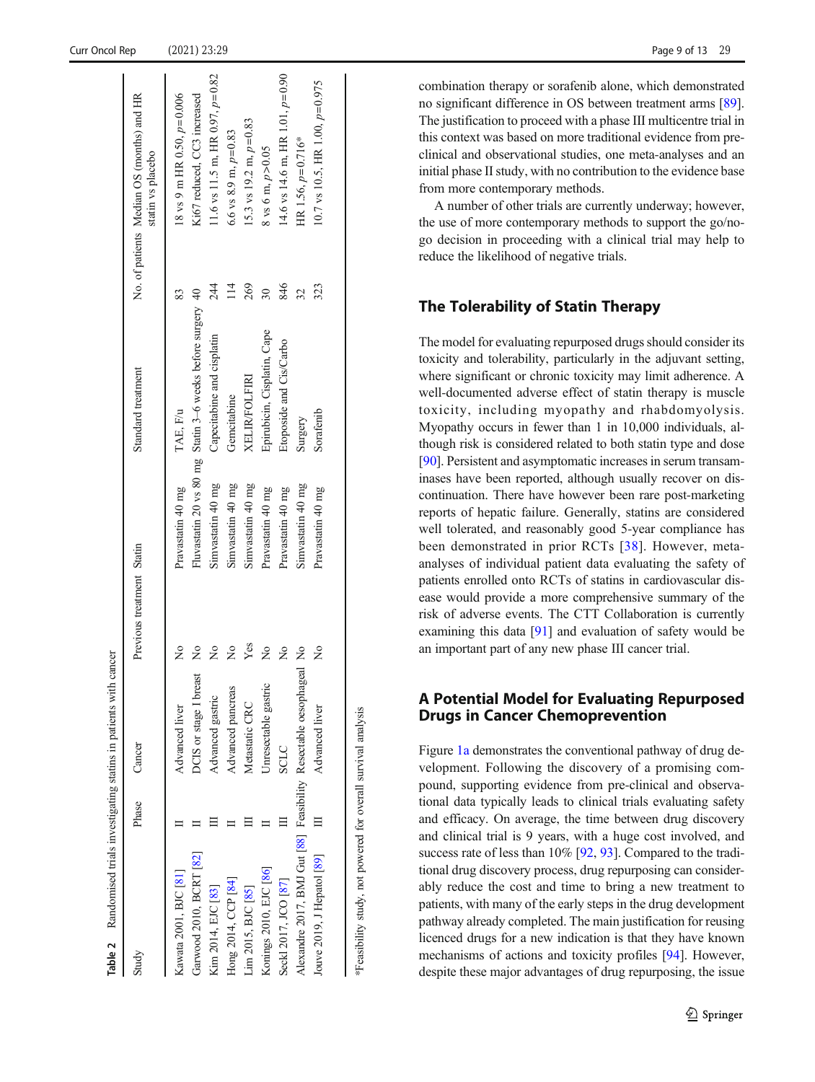Table 2

Randomised trials investigating statins in patients with cancer

Randomised trials investigating statins in patients with cancer

<span id="page-8-0"></span>

| Study                                                              | Phase    | Cancer                 | Previous treatment Statin |                   | Standard treatment                                         |                         | No. of patients Median OS (months) and HR<br>statin vs placebo |
|--------------------------------------------------------------------|----------|------------------------|---------------------------|-------------------|------------------------------------------------------------|-------------------------|----------------------------------------------------------------|
| Kawata 2001, BJC [81]                                              |          | Advanced liver         | $\frac{1}{2}$             | Pravastatin 40 mg | TAE, F/u                                                   |                         | 18 vs 9 m HR 0.50, $p=0.006$                                   |
| Garwood 2010, BCRT [82]                                            |          | DCIS or stage I breast | $\frac{1}{2}$             |                   | Fluvastatin 20 vs 80 mg Statin 3-6 weeks before surgery 40 |                         | Ki67 reduced, CC3 increased                                    |
| Kim 2014, EJC [83]                                                 |          | Advanced gastric       | $\frac{1}{2}$             | Simvastatin 40 mg | Capecitabine and cisplatin                                 | 244                     | 11.6 vs 11.5 m, HR 0.97, $p=0.82$                              |
| Hong 2014, CCP [84]                                                |          | Advanced pancreas      | $\frac{1}{2}$             | Simvastatin 40 mg | Gemcitabine                                                | $\overline{\mathbb{1}}$ | 6.6 vs 8.9 m, $p=0.83$                                         |
| im 2015, BJC [85]                                                  |          | Metastatic CRC         | Yes                       | Simvastatin 40 mg | <b>XELIR/FOLFIRI</b>                                       | 269                     | 15.3 vs 19.2 m, $p=0.83$                                       |
| Konings 2010, EJC [86]                                             |          | Unresectable gastric   | $\frac{1}{2}$             | Pravastatin 40 mg | Epirubicin, Cisplatin, Cape                                | $\overline{30}$         | 8 vs 6 m, $p > 0.05$                                           |
| Seckl 2017, JCO [87]                                               |          | <b>SCLC</b>            | $\frac{1}{2}$             | Pravastatin 40 mg | Etoposide and Cis/Carbo                                    | 846                     | 14.6 vs 14.6 m, HR 1.01, $p=0.90$                              |
| Alexandre 2017, BMJ Gut [88] Feasibility Resectable oesophageal No |          |                        |                           | Simvastatin 40 mg | Surgery                                                    | 32                      | HR 1.56, $p=0.716*$                                            |
| Jouve 2019, J Hepatol [89]                                         | $\equiv$ | Advanced liver         | ž                         | Pravastatin 40 mg | Sorafenib                                                  | 323                     | 10.7 vs 10.5, HR 1.00, $p=0.975$                               |
|                                                                    |          |                        |                           |                   |                                                            |                         |                                                                |
|                                                                    |          |                        |                           |                   |                                                            |                         |                                                                |

\*Feasibility study, not powered for overall survival analysis

Feasibility study, not powered for overall survival analysis

combination therapy or sorafenib alone, which demonstrated no significant difference in OS between treatment arms [[89\]](#page-12-0). The justification to proceed with a phase III multicentre trial in this context was based on more traditional evidence from preclinical and observational studies, one meta-analyses and an initial phase II study, with no contribution to the evidence base from more contemporary methods.

A number of other trials are currently underway; however, the use of more contemporary methods to support the go/nogo decision in proceeding with a clinical trial may help to reduce the likelihood of negative trials.

# The Tolerability of Statin Therapy

The model for evaluating repurposed drugs should consider its toxicity and tolerability, particularly in the adjuvant setting, where significant or chronic toxicity may limit adherence. A well-documented adverse effect of statin therapy is muscle toxicity, including myopathy and rhabdomyolysis. Myopathy occurs in fewer than 1 in 10,000 individuals, although risk is considered related to both statin type and dose [\[90](#page-12-0)]. Persistent and asymptomatic increases in serum transaminases have been reported, although usually recover on discontinuation. There have however been rare post-marketing reports of hepatic failure. Generally, statins are considered well tolerated, and reasonably good 5-year compliance has been demonstrated in prior RCTs [\[38\]](#page-10-0). However, metaanalyses of individual patient data evaluating the safety of patients enrolled onto RCTs of statins in cardiovascular disease would provide a more comprehensive summary of the risk of adverse events. The CTT Collaboration is currently examining this data [[91\]](#page-12-0) and evaluation of safety would be an important part of any new phase III cancer trial.

# A Potential Model for Evaluating Repurposed Drugs in Cancer Chemoprevention

Figure [1a](#page-1-0) demonstrates the conventional pathway of drug development. Following the discovery of a promising compound, supporting evidence from pre-clinical and observational data typically leads to clinical trials evaluating safety and efficacy. On average, the time between drug discovery and clinical trial is 9 years, with a huge cost involved, and success rate of less than 10% [\[92,](#page-12-0) [93](#page-12-0)]. Compared to the traditional drug discovery process, drug repurposing can considerably reduce the cost and time to bring a new treatment to patients, with many of the early steps in the drug development pathway already completed. The main justification for reusing licenced drugs for a new indication is that they have known mechanisms of actions and toxicity profiles [\[94\]](#page-12-0). However, despite these major advantages of drug repurposing, the issue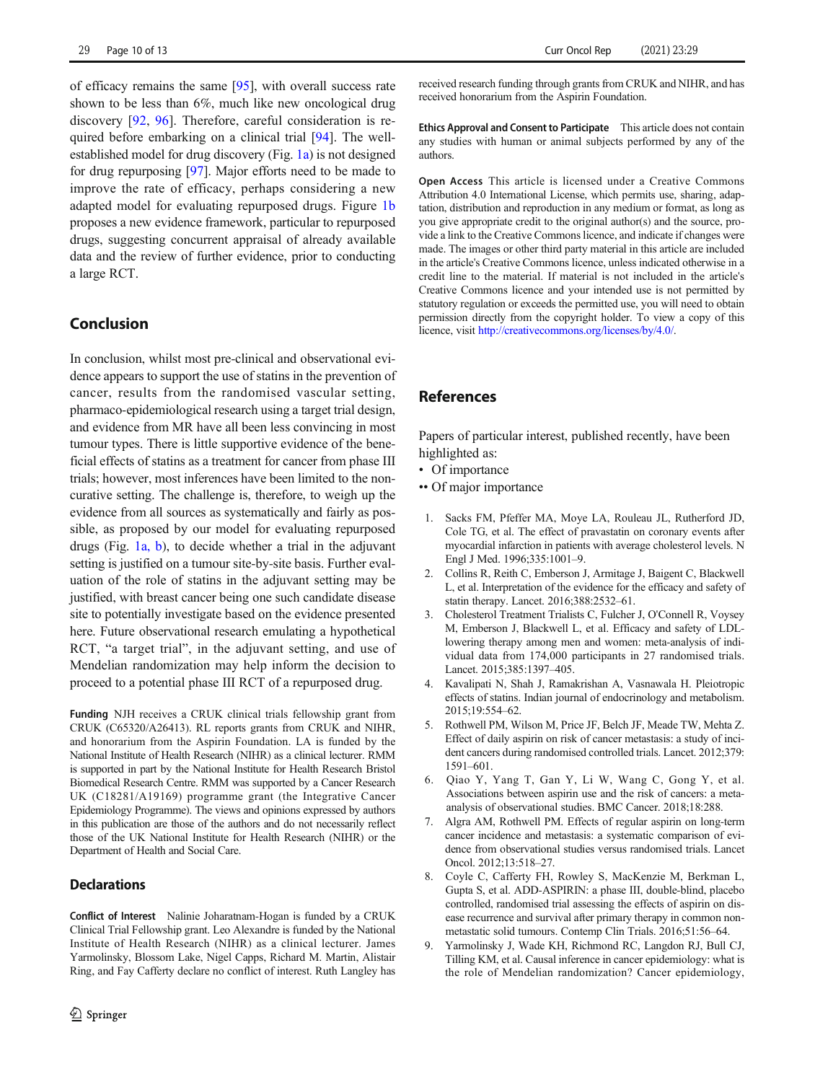<span id="page-9-0"></span>of efficacy remains the same [[95](#page-12-0)], with overall success rate shown to be less than 6%, much like new oncological drug discovery [[92](#page-12-0), [96\]](#page-12-0). Therefore, careful consideration is required before embarking on a clinical trial [[94\]](#page-12-0). The wellestablished model for drug discovery (Fig. [1a\)](#page-1-0) is not designed for drug repurposing [\[97\]](#page-12-0). Major efforts need to be made to improve the rate of efficacy, perhaps considering a new adapted model for evaluating repurposed drugs. Figure [1b](#page-1-0) proposes a new evidence framework, particular to repurposed drugs, suggesting concurrent appraisal of already available data and the review of further evidence, prior to conducting a large RCT.

## Conclusion

In conclusion, whilst most pre-clinical and observational evidence appears to support the use of statins in the prevention of cancer, results from the randomised vascular setting, pharmaco-epidemiological research using a target trial design, and evidence from MR have all been less convincing in most tumour types. There is little supportive evidence of the beneficial effects of statins as a treatment for cancer from phase III trials; however, most inferences have been limited to the noncurative setting. The challenge is, therefore, to weigh up the evidence from all sources as systematically and fairly as possible, as proposed by our model for evaluating repurposed drugs (Fig. [1a, b](#page-1-0)), to decide whether a trial in the adjuvant setting is justified on a tumour site-by-site basis. Further evaluation of the role of statins in the adjuvant setting may be justified, with breast cancer being one such candidate disease site to potentially investigate based on the evidence presented here. Future observational research emulating a hypothetical RCT, "a target trial", in the adjuvant setting, and use of Mendelian randomization may help inform the decision to proceed to a potential phase III RCT of a repurposed drug.

Funding NJH receives a CRUK clinical trials fellowship grant from CRUK (C65320/A26413). RL reports grants from CRUK and NIHR, and honorarium from the Aspirin Foundation. LA is funded by the National Institute of Health Research (NIHR) as a clinical lecturer. RMM is supported in part by the National Institute for Health Research Bristol Biomedical Research Centre. RMM was supported by a Cancer Research UK (C18281/A19169) programme grant (the Integrative Cancer Epidemiology Programme). The views and opinions expressed by authors in this publication are those of the authors and do not necessarily reflect those of the UK National Institute for Health Research (NIHR) or the Department of Health and Social Care.

#### **Declarations**

Conflict of Interest Nalinie Joharatnam-Hogan is funded by a CRUK Clinical Trial Fellowship grant. Leo Alexandre is funded by the National Institute of Health Research (NIHR) as a clinical lecturer. James Yarmolinsky, Blossom Lake, Nigel Capps, Richard M. Martin, Alistair Ring, and Fay Cafferty declare no conflict of interest. Ruth Langley has received research funding through grants from CRUK and NIHR, and has received honorarium from the Aspirin Foundation.

Ethics Approval and Consent to Participate This article does not contain any studies with human or animal subjects performed by any of the authors.

Open Access This article is licensed under a Creative Commons Attribution 4.0 International License, which permits use, sharing, adaptation, distribution and reproduction in any medium or format, as long as you give appropriate credit to the original author(s) and the source, provide a link to the Creative Commons licence, and indicate if changes were made. The images or other third party material in this article are included in the article's Creative Commons licence, unless indicated otherwise in a credit line to the material. If material is not included in the article's Creative Commons licence and your intended use is not permitted by statutory regulation or exceeds the permitted use, you will need to obtain permission directly from the copyright holder. To view a copy of this licence, visit [http://creativecommons.org/licenses/by/4.0/](https://doi.org/).

### References

Papers of particular interest, published recently, have been highlighted as:

- Of importance
- •• Of major importance
- 1. Sacks FM, Pfeffer MA, Moye LA, Rouleau JL, Rutherford JD, Cole TG, et al. The effect of pravastatin on coronary events after myocardial infarction in patients with average cholesterol levels. N Engl J Med. 1996;335:1001–9.
- 2. Collins R, Reith C, Emberson J, Armitage J, Baigent C, Blackwell L, et al. Interpretation of the evidence for the efficacy and safety of statin therapy. Lancet. 2016;388:2532–61.
- 3. Cholesterol Treatment Trialists C, Fulcher J, O'Connell R, Voysey M, Emberson J, Blackwell L, et al. Efficacy and safety of LDLlowering therapy among men and women: meta-analysis of individual data from 174,000 participants in 27 randomised trials. Lancet. 2015;385:1397–405.
- 4. Kavalipati N, Shah J, Ramakrishan A, Vasnawala H. Pleiotropic effects of statins. Indian journal of endocrinology and metabolism. 2015;19:554–62.
- 5. Rothwell PM, Wilson M, Price JF, Belch JF, Meade TW, Mehta Z. Effect of daily aspirin on risk of cancer metastasis: a study of incident cancers during randomised controlled trials. Lancet. 2012;379: 1591–601.
- 6. Qiao Y, Yang T, Gan Y, Li W, Wang C, Gong Y, et al. Associations between aspirin use and the risk of cancers: a metaanalysis of observational studies. BMC Cancer. 2018;18:288.
- 7. Algra AM, Rothwell PM. Effects of regular aspirin on long-term cancer incidence and metastasis: a systematic comparison of evidence from observational studies versus randomised trials. Lancet Oncol. 2012;13:518–27.
- 8. Coyle C, Cafferty FH, Rowley S, MacKenzie M, Berkman L, Gupta S, et al. ADD-ASPIRIN: a phase III, double-blind, placebo controlled, randomised trial assessing the effects of aspirin on disease recurrence and survival after primary therapy in common nonmetastatic solid tumours. Contemp Clin Trials. 2016;51:56–64.
- 9. Yarmolinsky J, Wade KH, Richmond RC, Langdon RJ, Bull CJ, Tilling KM, et al. Causal inference in cancer epidemiology: what is the role of Mendelian randomization? Cancer epidemiology,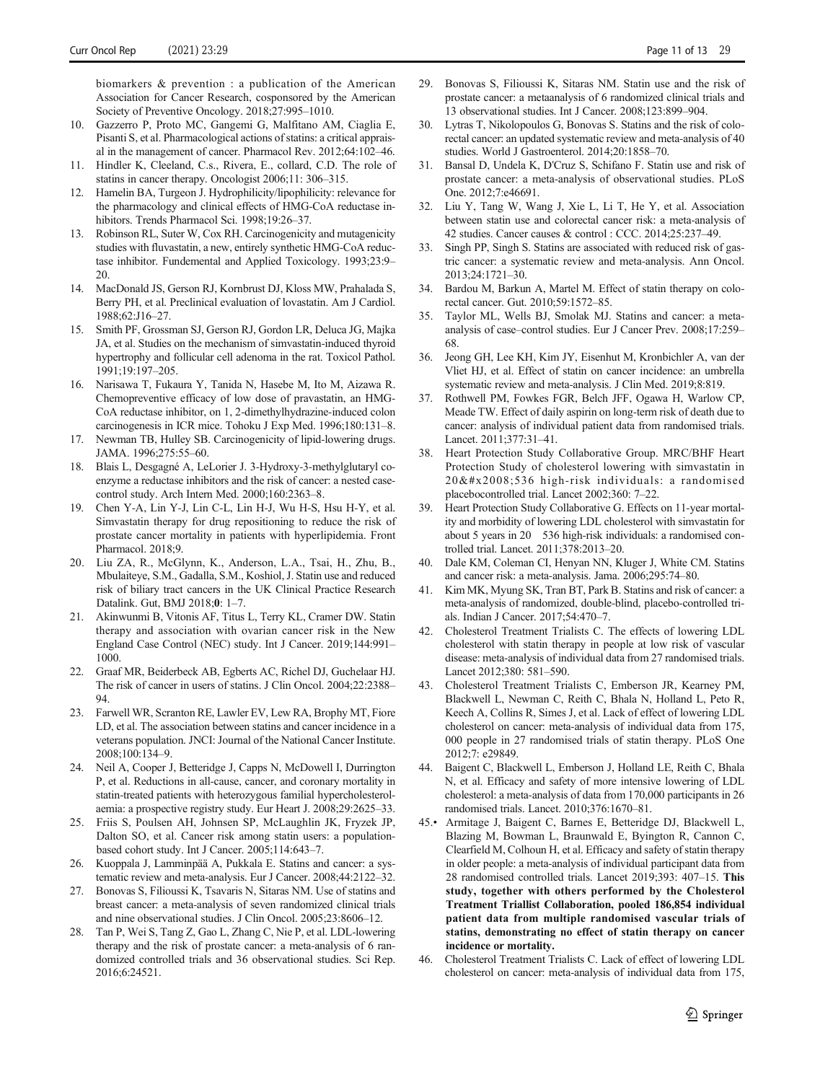<span id="page-10-0"></span>biomarkers & prevention : a publication of the American Association for Cancer Research, cosponsored by the American Society of Preventive Oncology. 2018;27:995–1010.

- 10. Gazzerro P, Proto MC, Gangemi G, Malfitano AM, Ciaglia E, Pisanti S, et al. Pharmacological actions of statins: a critical appraisal in the management of cancer. Pharmacol Rev. 2012;64:102–46.
- 11. Hindler K, Cleeland, C.s., Rivera, E., collard, C.D. The role of statins in cancer therapy. Oncologist 2006;11: 306–315.
- 12. Hamelin BA, Turgeon J. Hydrophilicity/lipophilicity: relevance for the pharmacology and clinical effects of HMG-CoA reductase inhibitors. Trends Pharmacol Sci. 1998;19:26–37.
- 13. Robinson RL, Suter W, Cox RH. Carcinogenicity and mutagenicity studies with fluvastatin, a new, entirely synthetic HMG-CoA reductase inhibitor. Fundemental and Applied Toxicology. 1993;23:9– 20.
- 14. MacDonald JS, Gerson RJ, Kornbrust DJ, Kloss MW, Prahalada S, Berry PH, et al. Preclinical evaluation of lovastatin. Am J Cardiol. 1988;62:J16–27.
- 15. Smith PF, Grossman SJ, Gerson RJ, Gordon LR, Deluca JG, Majka JA, et al. Studies on the mechanism of simvastatin-induced thyroid hypertrophy and follicular cell adenoma in the rat. Toxicol Pathol. 1991;19:197–205.
- 16. Narisawa T, Fukaura Y, Tanida N, Hasebe M, Ito M, Aizawa R. Chemopreventive efficacy of low dose of pravastatin, an HMG-CoA reductase inhibitor, on 1, 2-dimethylhydrazine-induced colon carcinogenesis in ICR mice. Tohoku J Exp Med. 1996;180:131–8.
- 17. Newman TB, Hulley SB. Carcinogenicity of lipid-lowering drugs. JAMA. 1996;275:55–60.
- 18. Blais L, Desgagné A, LeLorier J. 3-Hydroxy-3-methylglutaryl coenzyme a reductase inhibitors and the risk of cancer: a nested casecontrol study. Arch Intern Med. 2000;160:2363–8.
- 19. Chen Y-A, Lin Y-J, Lin C-L, Lin H-J, Wu H-S, Hsu H-Y, et al. Simvastatin therapy for drug repositioning to reduce the risk of prostate cancer mortality in patients with hyperlipidemia. Front Pharmacol. 2018;9.
- 20. Liu ZA, R., McGlynn, K., Anderson, L.A., Tsai, H., Zhu, B., Mbulaiteye, S.M., Gadalla, S.M., Koshiol, J. Statin use and reduced risk of biliary tract cancers in the UK Clinical Practice Research Datalink. Gut, BMJ 2018;0: 1–7.
- 21. Akinwunmi B, Vitonis AF, Titus L, Terry KL, Cramer DW. Statin therapy and association with ovarian cancer risk in the New England Case Control (NEC) study. Int J Cancer. 2019;144:991– 1000.
- 22. Graaf MR, Beiderbeck AB, Egberts AC, Richel DJ, Guchelaar HJ. The risk of cancer in users of statins. J Clin Oncol. 2004;22:2388– 94.
- 23. Farwell WR, Scranton RE, Lawler EV, Lew RA, Brophy MT, Fiore LD, et al. The association between statins and cancer incidence in a veterans population. JNCI: Journal of the National Cancer Institute. 2008;100:134–9.
- 24. Neil A, Cooper J, Betteridge J, Capps N, McDowell I, Durrington P, et al. Reductions in all-cause, cancer, and coronary mortality in statin-treated patients with heterozygous familial hypercholesterolaemia: a prospective registry study. Eur Heart J. 2008;29:2625–33.
- 25. Friis S, Poulsen AH, Johnsen SP, McLaughlin JK, Fryzek JP, Dalton SO, et al. Cancer risk among statin users: a populationbased cohort study. Int J Cancer. 2005;114:643–7.
- 26. Kuoppala J, Lamminpää A, Pukkala E. Statins and cancer: a systematic review and meta-analysis. Eur J Cancer. 2008;44:2122–32.
- 27. Bonovas S, Filioussi K, Tsavaris N, Sitaras NM. Use of statins and breast cancer: a meta-analysis of seven randomized clinical trials and nine observational studies. J Clin Oncol. 2005;23:8606–12.
- 28. Tan P, Wei S, Tang Z, Gao L, Zhang C, Nie P, et al. LDL-lowering therapy and the risk of prostate cancer: a meta-analysis of 6 randomized controlled trials and 36 observational studies. Sci Rep. 2016;6:24521.
- 29. Bonovas S, Filioussi K, Sitaras NM. Statin use and the risk of prostate cancer: a metaanalysis of 6 randomized clinical trials and 13 observational studies. Int J Cancer. 2008;123:899–904.
- 30. Lytras T, Nikolopoulos G, Bonovas S. Statins and the risk of colorectal cancer: an updated systematic review and meta-analysis of 40 studies. World J Gastroenterol. 2014;20:1858–70.
- 31. Bansal D, Undela K, D'Cruz S, Schifano F. Statin use and risk of prostate cancer: a meta-analysis of observational studies. PLoS One. 2012;7:e46691.
- 32. Liu Y, Tang W, Wang J, Xie L, Li T, He Y, et al. Association between statin use and colorectal cancer risk: a meta-analysis of 42 studies. Cancer causes & control : CCC. 2014;25:237–49.
- 33. Singh PP, Singh S. Statins are associated with reduced risk of gastric cancer: a systematic review and meta-analysis. Ann Oncol. 2013;24:1721–30.
- 34. Bardou M, Barkun A, Martel M. Effect of statin therapy on colorectal cancer. Gut. 2010;59:1572–85.
- 35. Taylor ML, Wells BJ, Smolak MJ. Statins and cancer: a metaanalysis of case–control studies. Eur J Cancer Prev. 2008;17:259– 68.
- 36. Jeong GH, Lee KH, Kim JY, Eisenhut M, Kronbichler A, van der Vliet HJ, et al. Effect of statin on cancer incidence: an umbrella systematic review and meta-analysis. J Clin Med. 2019;8:819.
- 37. Rothwell PM, Fowkes FGR, Belch JFF, Ogawa H, Warlow CP, Meade TW. Effect of daily aspirin on long-term risk of death due to cancer: analysis of individual patient data from randomised trials. Lancet. 2011;377:31–41.
- 38. Heart Protection Study Collaborative Group. MRC/BHF Heart Protection Study of cholesterol lowering with simvastatin in 20 536 high-risk individuals: a randomised placebocontrolled trial. Lancet 2002;360: 7–22.
- Heart Protection Study Collaborative G. Effects on 11-year mortality and morbidity of lowering LDL cholesterol with simvastatin for about 5 years in 20 536 high-risk individuals: a randomised controlled trial. Lancet. 2011;378:2013–20.
- 40. Dale KM, Coleman CI, Henyan NN, Kluger J, White CM. Statins and cancer risk: a meta-analysis. Jama. 2006;295:74–80.
- 41. Kim MK, Myung SK, Tran BT, Park B. Statins and risk of cancer: a meta-analysis of randomized, double-blind, placebo-controlled trials. Indian J Cancer. 2017;54:470–7.
- 42. Cholesterol Treatment Trialists C. The effects of lowering LDL cholesterol with statin therapy in people at low risk of vascular disease: meta-analysis of individual data from 27 randomised trials. Lancet 2012;380: 581–590.
- 43. Cholesterol Treatment Trialists C, Emberson JR, Kearney PM, Blackwell L, Newman C, Reith C, Bhala N, Holland L, Peto R, Keech A, Collins R, Simes J, et al. Lack of effect of lowering LDL cholesterol on cancer: meta-analysis of individual data from 175, 000 people in 27 randomised trials of statin therapy. PLoS One 2012;7: e29849.
- 44. Baigent C, Blackwell L, Emberson J, Holland LE, Reith C, Bhala N, et al. Efficacy and safety of more intensive lowering of LDL cholesterol: a meta-analysis of data from 170,000 participants in 26 randomised trials. Lancet. 2010;376:1670–81.
- 45.• Armitage J, Baigent C, Barnes E, Betteridge DJ, Blackwell L, Blazing M, Bowman L, Braunwald E, Byington R, Cannon C, Clearfield M, Colhoun H, et al. Efficacy and safety of statin therapy in older people: a meta-analysis of individual participant data from 28 randomised controlled trials. Lancet 2019;393: 407–15. This study, together with others performed by the Cholesterol Treatment Triallist Collaboration, pooled 186,854 individual patient data from multiple randomised vascular trials of statins, demonstrating no effect of statin therapy on cancer incidence or mortality.
- 46. Cholesterol Treatment Trialists C. Lack of effect of lowering LDL cholesterol on cancer: meta-analysis of individual data from 175,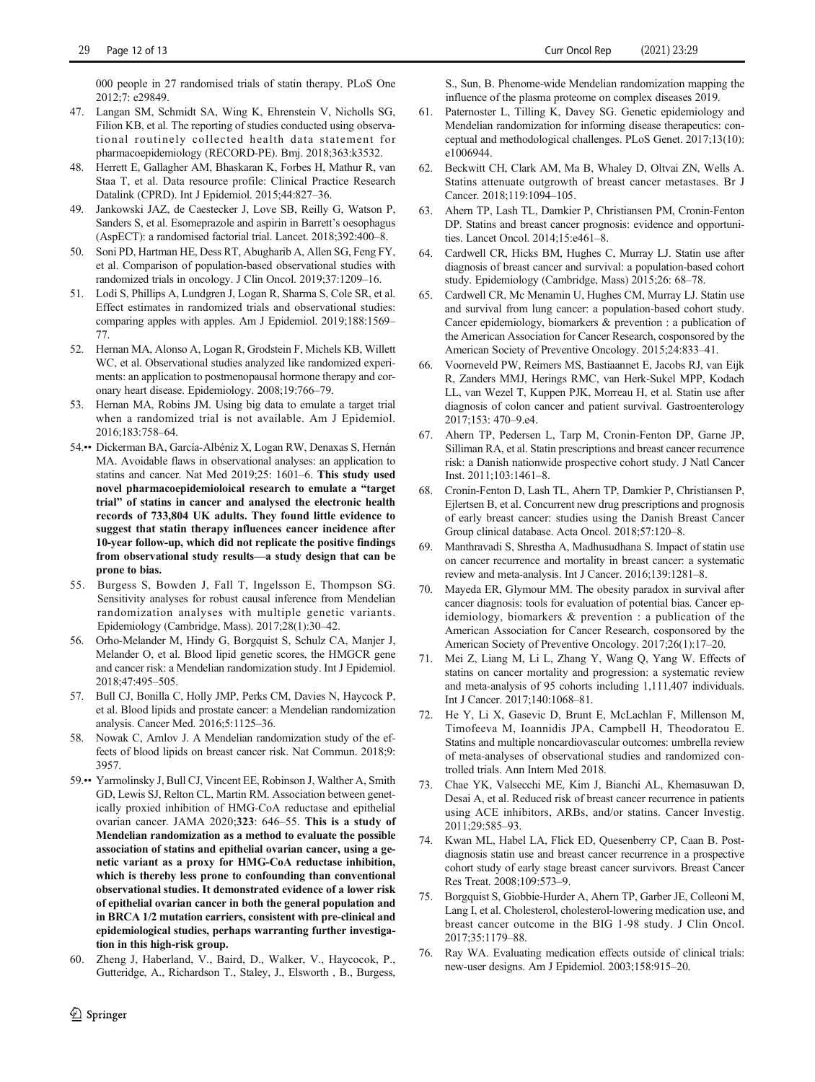<span id="page-11-0"></span>000 people in 27 randomised trials of statin therapy. PLoS One 2012;7: e29849.

- 47. Langan SM, Schmidt SA, Wing K, Ehrenstein V, Nicholls SG, Filion KB, et al. The reporting of studies conducted using observational routinely collected health data statement for pharmacoepidemiology (RECORD-PE). Bmj. 2018;363:k3532.
- 48. Herrett E, Gallagher AM, Bhaskaran K, Forbes H, Mathur R, van Staa T, et al. Data resource profile: Clinical Practice Research Datalink (CPRD). Int J Epidemiol. 2015;44:827–36.
- 49. Jankowski JAZ, de Caestecker J, Love SB, Reilly G, Watson P, Sanders S, et al. Esomeprazole and aspirin in Barrett's oesophagus (AspECT): a randomised factorial trial. Lancet. 2018;392:400–8.
- 50. Soni PD, Hartman HE, Dess RT, Abugharib A, Allen SG, Feng FY, et al. Comparison of population-based observational studies with randomized trials in oncology. J Clin Oncol. 2019;37:1209–16.
- 51. Lodi S, Phillips A, Lundgren J, Logan R, Sharma S, Cole SR, et al. Effect estimates in randomized trials and observational studies: comparing apples with apples. Am J Epidemiol. 2019;188:1569– 77.
- 52. Hernan MA, Alonso A, Logan R, Grodstein F, Michels KB, Willett WC, et al. Observational studies analyzed like randomized experiments: an application to postmenopausal hormone therapy and coronary heart disease. Epidemiology. 2008;19:766–79.
- 53. Hernan MA, Robins JM. Using big data to emulate a target trial when a randomized trial is not available. Am J Epidemiol. 2016;183:758–64.
- 54.•• Dickerman BA, García-Albéniz X, Logan RW, Denaxas S, Hernán MA. Avoidable flaws in observational analyses: an application to statins and cancer. Nat Med 2019;25: 1601–6. This study used novel pharmacoepidemioloical research to emulate a "target trial" of statins in cancer and analysed the electronic health records of 733,804 UK adults. They found little evidence to suggest that statin therapy influences cancer incidence after 10-year follow-up, which did not replicate the positive findings from observational study results—a study design that can be prone to bias.
- 55. Burgess S, Bowden J, Fall T, Ingelsson E, Thompson SG. Sensitivity analyses for robust causal inference from Mendelian randomization analyses with multiple genetic variants. Epidemiology (Cambridge, Mass). 2017;28(1):30–42.
- 56. Orho-Melander M, Hindy G, Borgquist S, Schulz CA, Manjer J, Melander O, et al. Blood lipid genetic scores, the HMGCR gene and cancer risk: a Mendelian randomization study. Int J Epidemiol. 2018;47:495–505.
- 57. Bull CJ, Bonilla C, Holly JMP, Perks CM, Davies N, Haycock P, et al. Blood lipids and prostate cancer: a Mendelian randomization analysis. Cancer Med. 2016;5:1125–36.
- 58. Nowak C, Arnlov J. A Mendelian randomization study of the effects of blood lipids on breast cancer risk. Nat Commun. 2018;9: 3957.
- 59.•• Yarmolinsky J, Bull CJ, Vincent EE, Robinson J, Walther A, Smith GD, Lewis SJ, Relton CL, Martin RM. Association between genetically proxied inhibition of HMG-CoA reductase and epithelial ovarian cancer. JAMA 2020;323: 646–55. This is a study of Mendelian randomization as a method to evaluate the possible association of statins and epithelial ovarian cancer, using a genetic variant as a proxy for HMG-CoA reductase inhibition, which is thereby less prone to confounding than conventional observational studies. It demonstrated evidence of a lower risk of epithelial ovarian cancer in both the general population and in BRCA 1/2 mutation carriers, consistent with pre-clinical and epidemiological studies, perhaps warranting further investigation in this high-risk group.
- 60. Zheng J, Haberland, V., Baird, D., Walker, V., Haycocok, P., Gutteridge, A., Richardson T., Staley, J., Elsworth , B., Burgess,

S., Sun, B. Phenome-wide Mendelian randomization mapping the influence of the plasma proteome on complex diseases 2019.

- 61. Paternoster L, Tilling K, Davey SG. Genetic epidemiology and Mendelian randomization for informing disease therapeutics: conceptual and methodological challenges. PLoS Genet. 2017;13(10): e1006944.
- 62. Beckwitt CH, Clark AM, Ma B, Whaley D, Oltvai ZN, Wells A. Statins attenuate outgrowth of breast cancer metastases. Br J Cancer. 2018;119:1094–105.
- 63. Ahern TP, Lash TL, Damkier P, Christiansen PM, Cronin-Fenton DP. Statins and breast cancer prognosis: evidence and opportunities. Lancet Oncol. 2014;15:e461–8.
- 64. Cardwell CR, Hicks BM, Hughes C, Murray LJ. Statin use after diagnosis of breast cancer and survival: a population-based cohort study. Epidemiology (Cambridge, Mass) 2015;26: 68–78.
- 65. Cardwell CR, Mc Menamin U, Hughes CM, Murray LJ. Statin use and survival from lung cancer: a population-based cohort study. Cancer epidemiology, biomarkers & prevention : a publication of the American Association for Cancer Research, cosponsored by the American Society of Preventive Oncology. 2015;24:833–41.
- 66. Voorneveld PW, Reimers MS, Bastiaannet E, Jacobs RJ, van Eijk R, Zanders MMJ, Herings RMC, van Herk-Sukel MPP, Kodach LL, van Wezel T, Kuppen PJK, Morreau H, et al. Statin use after diagnosis of colon cancer and patient survival. Gastroenterology 2017;153: 470–9.e4.
- 67. Ahern TP, Pedersen L, Tarp M, Cronin-Fenton DP, Garne JP, Silliman RA, et al. Statin prescriptions and breast cancer recurrence risk: a Danish nationwide prospective cohort study. J Natl Cancer Inst. 2011;103:1461–8.
- 68. Cronin-Fenton D, Lash TL, Ahern TP, Damkier P, Christiansen P, Ejlertsen B, et al. Concurrent new drug prescriptions and prognosis of early breast cancer: studies using the Danish Breast Cancer Group clinical database. Acta Oncol. 2018;57:120–8.
- 69. Manthravadi S, Shrestha A, Madhusudhana S. Impact of statin use on cancer recurrence and mortality in breast cancer: a systematic review and meta-analysis. Int J Cancer. 2016;139:1281–8.
- 70. Mayeda ER, Glymour MM. The obesity paradox in survival after cancer diagnosis: tools for evaluation of potential bias. Cancer epidemiology, biomarkers & prevention : a publication of the American Association for Cancer Research, cosponsored by the American Society of Preventive Oncology. 2017;26(1):17–20.
- 71. Mei Z, Liang M, Li L, Zhang Y, Wang Q, Yang W. Effects of statins on cancer mortality and progression: a systematic review and meta-analysis of 95 cohorts including 1,111,407 individuals. Int J Cancer. 2017;140:1068–81.
- 72. He Y, Li X, Gasevic D, Brunt E, McLachlan F, Millenson M, Timofeeva M, Ioannidis JPA, Campbell H, Theodoratou E. Statins and multiple noncardiovascular outcomes: umbrella review of meta-analyses of observational studies and randomized controlled trials. Ann Intern Med 2018.
- 73. Chae YK, Valsecchi ME, Kim J, Bianchi AL, Khemasuwan D, Desai A, et al. Reduced risk of breast cancer recurrence in patients using ACE inhibitors, ARBs, and/or statins. Cancer Investig. 2011;29:585–93.
- 74. Kwan ML, Habel LA, Flick ED, Quesenberry CP, Caan B. Postdiagnosis statin use and breast cancer recurrence in a prospective cohort study of early stage breast cancer survivors. Breast Cancer Res Treat. 2008;109:573–9.
- 75. Borgquist S, Giobbie-Hurder A, Ahern TP, Garber JE, Colleoni M, Lang I, et al. Cholesterol, cholesterol-lowering medication use, and breast cancer outcome in the BIG 1-98 study. J Clin Oncol. 2017;35:1179–88.
- 76. Ray WA. Evaluating medication effects outside of clinical trials: new-user designs. Am J Epidemiol. 2003;158:915–20.